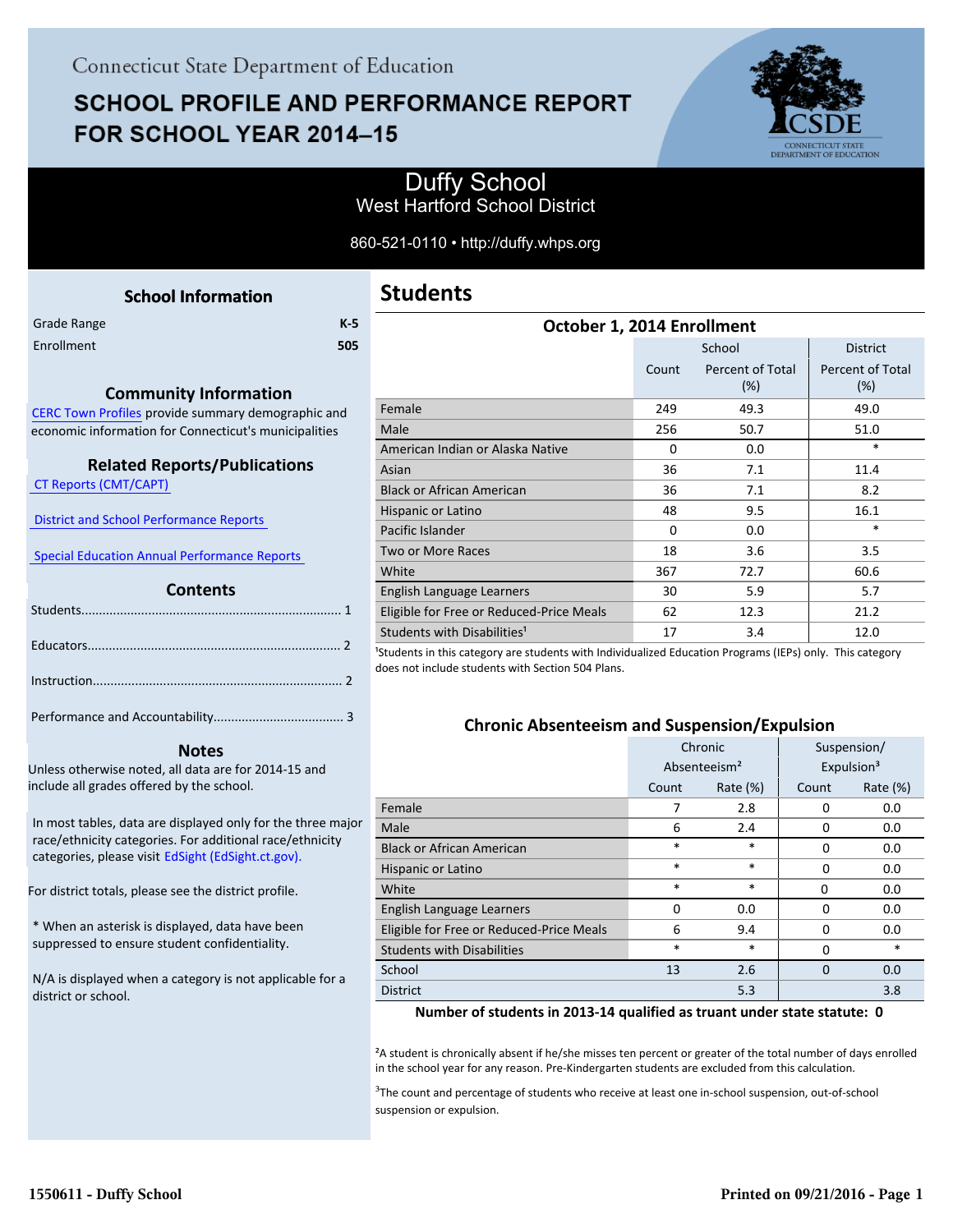# **SCHOOL PROFILE AND PERFORMANCE REPORT** FOR SCHOOL YEAR 2014-15



### Duffy School West Hartford School District

### 860-521-0110 • http://duffy.whps.org

<span id="page-0-0"></span>

| <b>School Information</b>                             | Studer                                         |
|-------------------------------------------------------|------------------------------------------------|
| $K-5$<br>Grade Range                                  |                                                |
| Enrollment<br>505                                     |                                                |
|                                                       |                                                |
| <b>Community Information</b>                          |                                                |
| CERC Town Profiles provide summary demographic and    | Female                                         |
| economic information for Connecticut's municipalities | Male                                           |
|                                                       | American In                                    |
| <b>Related Reports/Publications</b>                   | Asian                                          |
| <b>CT Reports (CMT/CAPT)</b>                          | <b>Black or Afri</b>                           |
|                                                       | Hispanic or I                                  |
| <b>District and School Performance Reports</b>        | Pacific Island                                 |
| <b>Special Education Annual Performance Reports</b>   | Two or More                                    |
|                                                       | White                                          |
| Contents                                              | <b>English Lang</b>                            |
| Students.                                             | Eligible for F                                 |
|                                                       | $C_{\frac{1}{2}}$ , and a matrix $\frac{1}{2}$ |

#### **Notes**

Unless otherwise noted, all data are for 2014-15 and include all grades offered by the school.

[In most tables, data are displayed only for the three major](http://edsight.ct.gov) race/ethnicity categories. For additional race/ethnicity categories, please visit EdSight (EdSight.ct.gov).

For district totals, please see the district profile.

\* When an asterisk is displayed, data have been suppressed to ensure student confidentiality.

N/A is displayed when a category is not applicable for a district or school.

| October 1, 2014 Enrollment               |          |                            |                         |  |  |  |
|------------------------------------------|----------|----------------------------|-------------------------|--|--|--|
|                                          |          | School                     | <b>District</b>         |  |  |  |
|                                          | Count    | Percent of Total<br>$(\%)$ | Percent of Total<br>(%) |  |  |  |
| Female                                   | 249      | 49.3                       | 49.0                    |  |  |  |
| Male                                     | 256      | 50.7                       | 51.0                    |  |  |  |
| American Indian or Alaska Native         | $\Omega$ | 0.0                        | $\ast$                  |  |  |  |
| Asian                                    | 36       | 7.1                        | 11.4                    |  |  |  |
| <b>Black or African American</b>         | 36       | 7.1                        | 8.2                     |  |  |  |
| Hispanic or Latino                       | 48       | 9.5                        | 16.1                    |  |  |  |
| Pacific Islander                         | $\Omega$ | 0.0                        | $\ast$                  |  |  |  |
| Two or More Races                        | 18       | 3.6                        | 3.5                     |  |  |  |
| White                                    | 367      | 72.7                       | 60.6                    |  |  |  |
| English Language Learners                | 30       | 5.9                        | 5.7                     |  |  |  |
| Eligible for Free or Reduced-Price Meals | 62       | 12.3                       | 21.2                    |  |  |  |
| Students with Disabilities <sup>1</sup>  | 17       | 3.4                        | 12.0                    |  |  |  |
|                                          |          |                            |                         |  |  |  |

<sup>1</sup>Students in this category are students with Individualized Education Programs (IEPs) only. This category does not include students with Section 504 Plans.

#### **Chronic Absenteeism and Suspension/Expulsion**

|                                          | Chronic                  |             | Suspension/ |                        |
|------------------------------------------|--------------------------|-------------|-------------|------------------------|
|                                          | Absenteeism <sup>2</sup> |             |             | Expulsion <sup>3</sup> |
|                                          | Count                    | Rate $(\%)$ | Count       | Rate $(\%)$            |
| Female                                   | 7                        | 2.8         | $\Omega$    | 0.0                    |
| Male                                     | 6                        | 2.4         | O           | 0.0                    |
| <b>Black or African American</b>         | $\ast$                   | $\ast$      | 0           | 0.0                    |
| Hispanic or Latino                       | $\ast$                   | $\ast$      | $\Omega$    | 0.0                    |
| White                                    | $\ast$                   | $\ast$      | $\Omega$    | 0.0                    |
| English Language Learners                | 0                        | 0.0         | 0           | 0.0                    |
| Eligible for Free or Reduced-Price Meals | 6                        | 9.4         | $\Omega$    | 0.0                    |
| <b>Students with Disabilities</b>        | $\ast$                   | $\ast$      | $\Omega$    | $\ast$                 |
| School                                   | 13                       | 2.6         | $\Omega$    | 0.0                    |
| <b>District</b>                          |                          | 5.3         |             | 3.8                    |

#### **Number of students in 2013-14 qualified as truant under state statute: 0**

²A student is chronically absent if he/she misses ten percent or greater of the total number of days enrolled in the school year for any reason. Pre-Kindergarten students are excluded from this calculation.

 $3$ The count and percentage of students who receive at least one in-school suspension, out-of-school suspension or expulsion.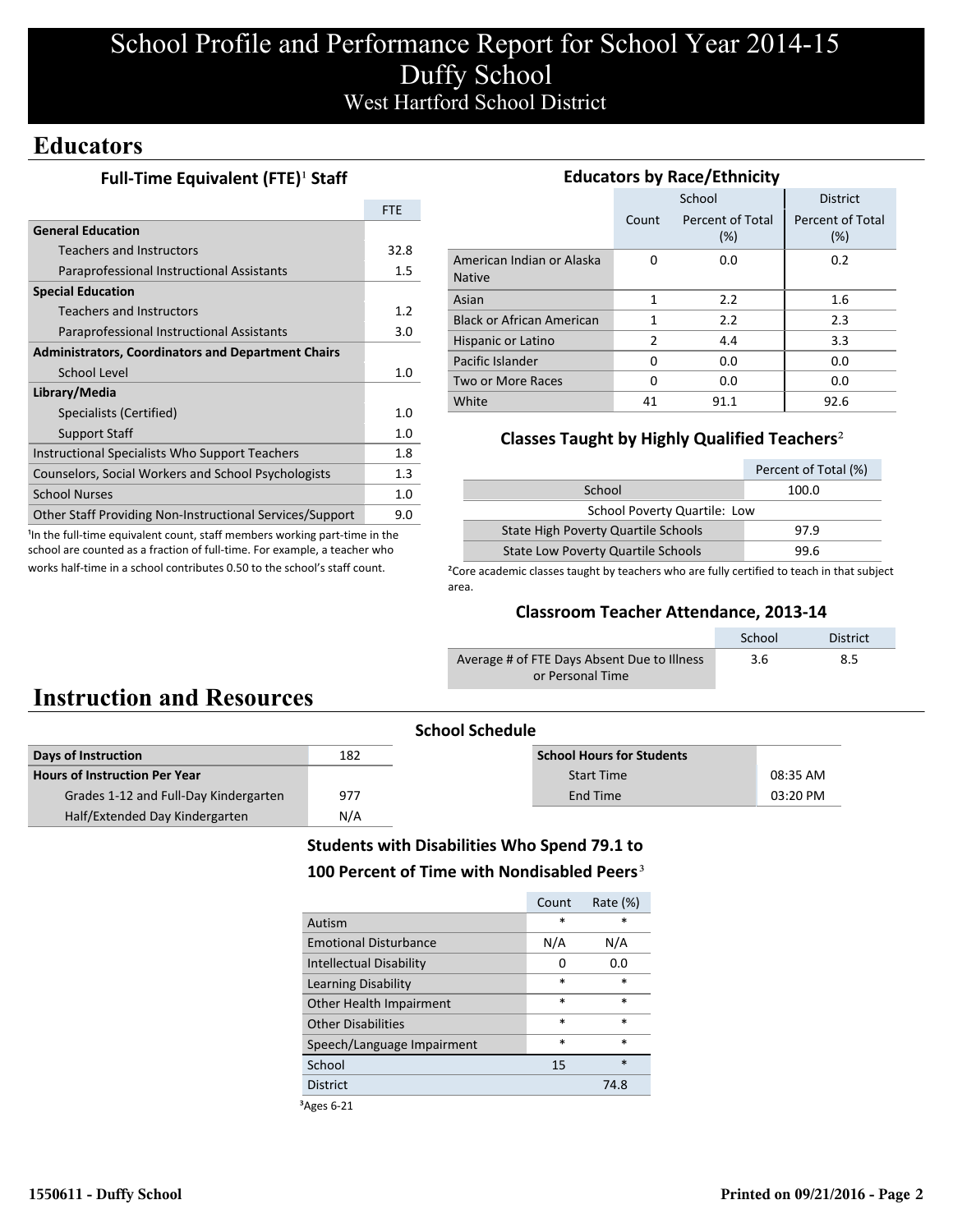# School Profile and Performance Report for School Year 2014-15 Duffy School West Hartford School District

### **Educators**

### **Full-Time Equivalent (FTE)<sup>1</sup> Staff**

|                                                           | <b>FTF</b> |
|-----------------------------------------------------------|------------|
| <b>General Education</b>                                  |            |
| Teachers and Instructors                                  | 32.8       |
| Paraprofessional Instructional Assistants                 | 1.5        |
| <b>Special Education</b>                                  |            |
| <b>Teachers and Instructors</b>                           | 1.2        |
| Paraprofessional Instructional Assistants                 | 3.0        |
| <b>Administrators, Coordinators and Department Chairs</b> |            |
| School Level                                              | 1.0        |
| Library/Media                                             |            |
| Specialists (Certified)                                   | 1.0        |
| <b>Support Staff</b>                                      | 1.0        |
| Instructional Specialists Who Support Teachers            | 1.8        |
| Counselors, Social Workers and School Psychologists       | 1.3        |
| <b>School Nurses</b>                                      | 1.0        |
| Other Staff Providing Non-Instructional Services/Support  | 9.0        |

<sup>1</sup>In the full-time equivalent count, staff members working part-time in the school are counted as a fraction of full-time. For example, a teacher who works half-time in a school contributes 0.50 to the school's staff count.

| <b>Educators by Race/Ethnicity</b>         |                |                         |                         |  |  |  |
|--------------------------------------------|----------------|-------------------------|-------------------------|--|--|--|
|                                            |                | School                  | <b>District</b>         |  |  |  |
|                                            | Count          | Percent of Total<br>(%) | Percent of Total<br>(%) |  |  |  |
| American Indian or Alaska<br><b>Native</b> | 0              | 0.0                     | 0.2                     |  |  |  |
| Asian                                      | 1              | 2.2                     | 1.6                     |  |  |  |
| <b>Black or African American</b>           | 1              | 2.2                     | 2.3                     |  |  |  |
| Hispanic or Latino                         | $\overline{2}$ | 4.4                     | 3.3                     |  |  |  |
| Pacific Islander                           | 0              | 0.0                     | 0.0                     |  |  |  |
| Two or More Races                          | 0              | 0.0                     | 0.0                     |  |  |  |
| White                                      | 41             | 91.1                    | 92.6                    |  |  |  |

### **Classes Taught by Highly Qualified Teachers**²

|                                           | Percent of Total (%) |  |  |  |  |
|-------------------------------------------|----------------------|--|--|--|--|
| School                                    | 100.0                |  |  |  |  |
| School Poverty Quartile: Low              |                      |  |  |  |  |
| State High Poverty Quartile Schools       | 97.9                 |  |  |  |  |
| <b>State Low Poverty Quartile Schools</b> | 99.6                 |  |  |  |  |

<sup>2</sup>Core academic classes taught by teachers who are fully certified to teach in that subject area.

#### **Classroom Teacher Attendance, 2013-14**

|                                             | School | <b>District</b> |
|---------------------------------------------|--------|-----------------|
| Average # of FTE Days Absent Due to Illness | 3.6    | 8.5             |
| or Personal Time                            |        |                 |

# **Instruction and Resources**

| <b>School Schedule</b>                |     |                                  |          |
|---------------------------------------|-----|----------------------------------|----------|
| Days of Instruction                   | 182 | <b>School Hours for Students</b> |          |
| <b>Hours of Instruction Per Year</b>  |     | <b>Start Time</b>                | 08:35 AM |
| Grades 1-12 and Full-Day Kindergarten | 977 | End Time                         | 03:20 PM |
| Half/Extended Day Kindergarten        | N/A |                                  |          |

### **Students with Disabilities Who Spend 79.1 to** 100 Percent of Time with Nondisabled Peers<sup>3</sup>

| Count  | Rate $(\%)$ |
|--------|-------------|
| $\ast$ | ж           |
| N/A    | N/A         |
| O      | 0.0         |
| $\ast$ | $\ast$      |
| $\ast$ | $\ast$      |
| $\ast$ | $\ast$      |
| $\ast$ | $\ast$      |
| 15     | $\ast$      |
|        | 74.8        |
|        |             |

³Ages 6-21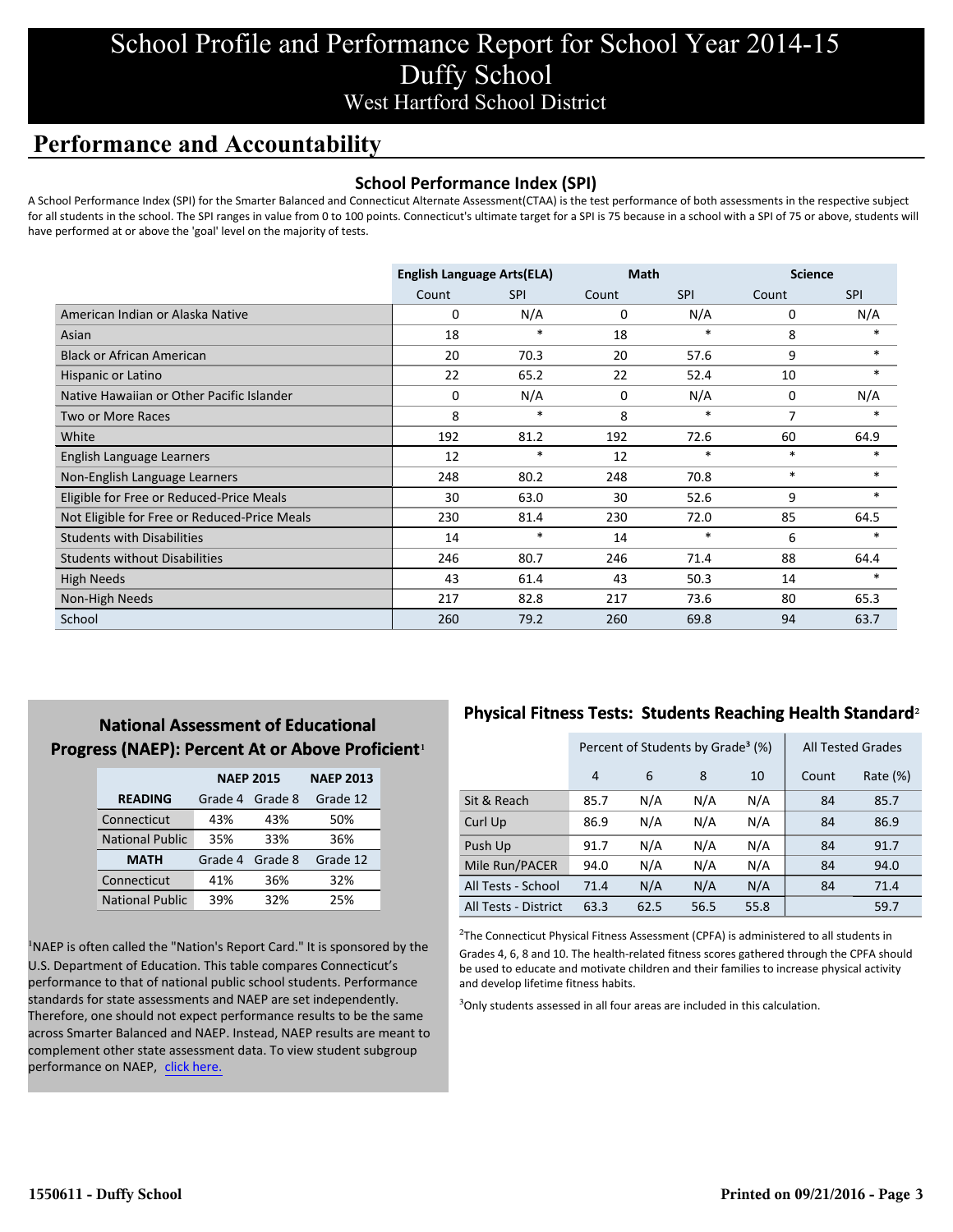## School Profile and Performance Report for School Year 2014-15 Duffy School West Hartford School District

## **Performance and Accountability**

### **School Performance Index (SPI)**

A School Performance Index (SPI) for the Smarter Balanced and Connecticut Alternate Assessment(CTAA) is the test performance of both assessments in the respective subject for all students in the school. The SPI ranges in value from 0 to 100 points. Connecticut's ultimate target for a SPI is 75 because in a school with a SPI of 75 or above, students will have performed at or above the 'goal' level on the majority of tests.

|                                              | <b>English Language Arts(ELA)</b> |            | <b>Math</b> |            | <b>Science</b> |            |
|----------------------------------------------|-----------------------------------|------------|-------------|------------|----------------|------------|
|                                              | Count                             | <b>SPI</b> | Count       | <b>SPI</b> | Count          | <b>SPI</b> |
| American Indian or Alaska Native             | 0                                 | N/A        | 0           | N/A        | 0              | N/A        |
| Asian                                        | 18                                | $\ast$     | 18          | $\ast$     | 8              | $\ast$     |
| <b>Black or African American</b>             | 20                                | 70.3       | 20          | 57.6       | 9              | $*$        |
| Hispanic or Latino                           | 22                                | 65.2       | 22          | 52.4       | 10             | $\ast$     |
| Native Hawaiian or Other Pacific Islander    | 0                                 | N/A        | 0           | N/A        | 0              | N/A        |
| Two or More Races                            | 8                                 | $\ast$     | 8           | $\ast$     | 7              | *          |
| White                                        | 192                               | 81.2       | 192         | 72.6       | 60             | 64.9       |
| English Language Learners                    | 12                                | $\ast$     | 12          | $\ast$     | $*$            | $*$        |
| Non-English Language Learners                | 248                               | 80.2       | 248         | 70.8       | $\ast$         | $\ast$     |
| Eligible for Free or Reduced-Price Meals     | 30                                | 63.0       | 30          | 52.6       | 9              | $\ast$     |
| Not Eligible for Free or Reduced-Price Meals | 230                               | 81.4       | 230         | 72.0       | 85             | 64.5       |
| <b>Students with Disabilities</b>            | 14                                | $\ast$     | 14          | $\ast$     | 6              |            |
| <b>Students without Disabilities</b>         | 246                               | 80.7       | 246         | 71.4       | 88             | 64.4       |
| <b>High Needs</b>                            | 43                                | 61.4       | 43          | 50.3       | 14             | $\ast$     |
| Non-High Needs                               | 217                               | 82.8       | 217         | 73.6       | 80             | 65.3       |
| School                                       | 260                               | 79.2       | 260         | 69.8       | 94             | 63.7       |

### **National Assessment of Educational Progress (NAEP): Percent At or Above Proficient1**

|                        | <b>NAEP 2015</b> |         | <b>NAEP 2013</b> |  |
|------------------------|------------------|---------|------------------|--|
| <b>READING</b>         | Grade 4          | Grade 8 | Grade 12         |  |
| Connecticut            | 43%              | 43%     | 50%              |  |
| <b>National Public</b> | 35%              | 33%     | 36%              |  |
| <b>MATH</b>            | Grade 4          | Grade 8 | Grade 12         |  |
| Connecticut            | 41%              | 36%     | 32%              |  |
| <b>National Public</b> | 39%              | 32%     | 25%              |  |

<sup>1</sup>NAEP is often called the "Nation's Report Card." It is sponsored by the U.S. Department of Education. This table compares Connecticut's performance to that of national public school students. Performance standards for state assessments and NAEP are set independently. Therefore, one should not expect performance results to be the same across Smarter Balanced and NAEP. Instead, NAEP results are meant to complement other state assessment data. To view student subgroup performance on NAEP, click here.

### **Physical Fitness Tests: Students Reaching Health Standard**²

|                      | Percent of Students by Grade <sup>3</sup> (%) |      |      |      |       | <b>All Tested Grades</b> |
|----------------------|-----------------------------------------------|------|------|------|-------|--------------------------|
|                      | $\overline{4}$                                | 6    | 8    | 10   | Count | Rate (%)                 |
| Sit & Reach          | 85.7                                          | N/A  | N/A  | N/A  | 84    | 85.7                     |
| Curl Up              | 86.9                                          | N/A  | N/A  | N/A  | 84    | 86.9                     |
| Push Up              | 91.7                                          | N/A  | N/A  | N/A  | 84    | 91.7                     |
| Mile Run/PACER       | 94.0                                          | N/A  | N/A  | N/A  | 84    | 94.0                     |
| All Tests - School   | 71.4                                          | N/A  | N/A  | N/A  | 84    | 71.4                     |
| All Tests - District | 63.3                                          | 62.5 | 56.5 | 55.8 |       | 59.7                     |

 $2$ The Connecticut Physical Fitness Assessment (CPFA) is administered to all students in Grades 4, 6, 8 and 10. The health-related fitness scores gathered through the CPFA should be used to educate and motivate children and their families to increase physical activity and develop lifetime fitness habits.

<sup>3</sup>Only students assessed in all four areas are included in this calculation.